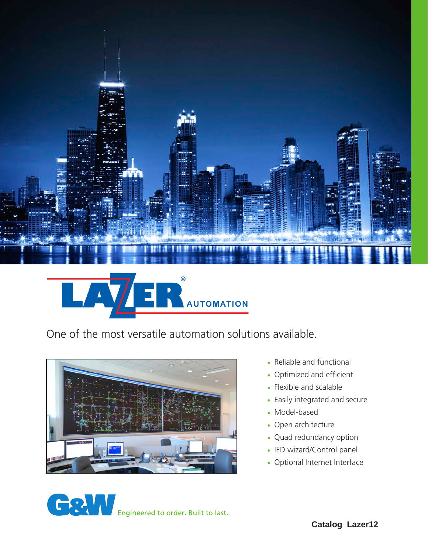

# AUTOMATION  $\bm{\nabla}$  $\mathbf{A}$

One of the most versatile automation solutions available.



- Reliable and functional
- Optimized and efficient
- Flexible and scalable
- Easily integrated and secure
- Model-based
- Open architecture
- Quad redundancy option
- IED wizard/Control panel
- Optional Internet Interface

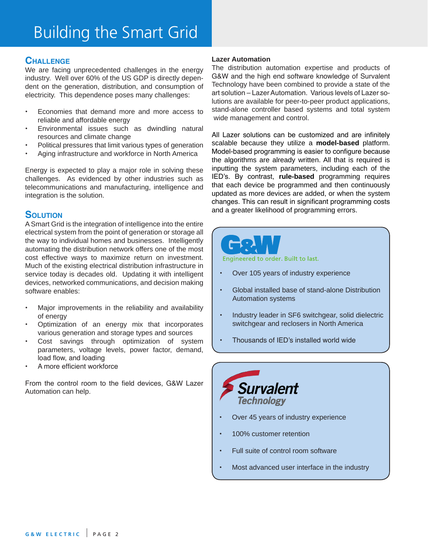# **Challenge**

We are facing unprecedented challenges in the energy industry. Well over 60% of the US GDP is directly dependent on the generation, distribution, and consumption of electricity. This dependence poses many challenges:

- Economies that demand more and more access to reliable and affordable energy
- Environmental issues such as dwindling natural resources and climate change
- Political pressures that limit various types of generation
- Aging infrastructure and workforce in North America

Energy is expected to play a major role in solving these challenges. As evidenced by other industries such as telecommunications and manufacturing, intelligence and integration is the solution.

# **SOLUTION**

A Smart Grid is the integration of intelligence into the entire electrical system from the point of generation or storage all the way to individual homes and businesses. Intelligently automating the distribution network offers one of the most cost effective ways to maximize return on investment. Much of the existing electrical distribution infrastructure in service today is decades old. Updating it with intelligent devices, networked communications, and decision making software enables:

- Major improvements in the reliability and availability of energy
- Optimization of an energy mix that incorporates various generation and storage types and sources
- Cost savings through optimization of system parameters, voltage levels, power factor, demand, load flow, and loading
- A more efficient workforce

From the control room to the field devices, G&W Lazer Automation can help.

#### **Lazer Automation**

The distribution automation expertise and products of G&W and the high end software knowledge of Survalent Technology have been combined to provide a state of the art solution – Lazer Automation. Various levels of Lazer solutions are available for peer-to-peer product applications, stand-alone controller based systems and total system wide management and control.

All Lazer solutions can be customized and are infinitely scalable because they utilize a **model-based** platform. Model-based programming is easier to configure because the algorithms are already written. All that is required is inputting the system parameters, including each of the IED's. By contrast, **rule-based** programming requires that each device be programmed and then continuously updated as more devices are added, or when the system changes. This can result in significant programming costs and a greater likelihood of programming errors.



Engineered to order, Built to last.

- Over 105 years of industry experience
- Global installed base of stand-alone Distribution Automation systems
- Industry leader in SF6 switchgear, solid dielectric switchgear and reclosers in North America
- Thousands of IED's installed world wide



- Over 45 years of industry experience
- 100% customer retention
- Full suite of control room software
- Most advanced user interface in the industry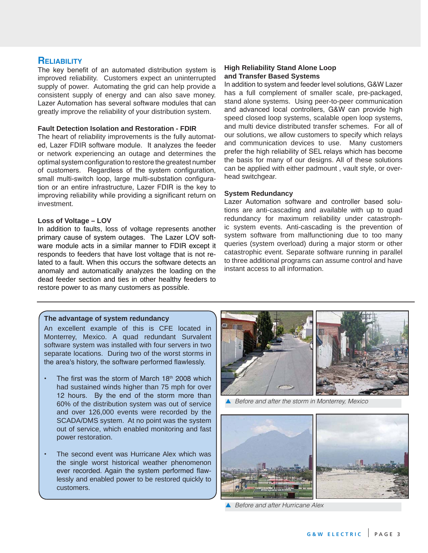### **Reliability**

The key benefit of an automated distribution system is improved reliability. Customers expect an uninterrupted supply of power. Automating the grid can help provide a consistent supply of energy and can also save money. Lazer Automation has several software modules that can greatly improve the reliability of your distribution system.

#### **Fault Detection Isolation and Restoration - FDIR**

The heart of reliability improvements is the fully automated, Lazer FDIR software module. It analyzes the feeder or network experiencing an outage and determines the optimal system configuration to restore the greatest number of customers. Regardless of the system configuration, small multi-switch loop, large multi-substation configuration or an entire infrastructure, Lazer FDIR is the key to improving reliability while providing a significant return on investment.

#### **Loss of Voltage – LOV**

In addition to faults, loss of voltage represents another primary cause of system outages. The Lazer LOV software module acts in a similar manner to FDIR except it responds to feeders that have lost voltage that is not related to a fault. When this occurs the software detects an anomaly and automatically analyzes the loading on the dead feeder section and ties in other healthy feeders to restore power to as many customers as possible.

#### **High Reliability Stand Alone Loop and Transfer Based Systems**

In addition to system and feeder level solutions, G&W Lazer has a full complement of smaller scale, pre-packaged, stand alone systems. Using peer-to-peer communication and advanced local controllers, G&W can provide high speed closed loop systems, scalable open loop systems, and multi device distributed transfer schemes. For all of our solutions, we allow customers to specify which relays and communication devices to use. Many customers prefer the high reliability of SEL relays which has become the basis for many of our designs. All of these solutions can be applied with either padmount , vault style, or overhead switchgear.

#### **System Redundancy**

Lazer Automation software and controller based solutions are anti-cascading and available with up to quad redundancy for maximum reliability under catastrophic system events. Anti-cascading is the prevention of system software from malfunctioning due to too many queries (system overload) during a major storm or other catastrophic event. Separate software running in parallel to three additional programs can assume control and have instant access to all information.

#### **The advantage of system redundancy**

An excellent example of this is CFE located in Monterrey, Mexico. A quad redundant Survalent software system was installed with four servers in two separate locations. During two of the worst storms in the area's history, the software performed flawlessly.

- The first was the storm of March  $18<sup>th</sup>$  2008 which had sustained winds higher than 75 mph for over 12 hours. By the end of the storm more than 60% of the distribution system was out of service and over 126,000 events were recorded by the SCADA/DMS system. At no point was the system out of service, which enabled monitoring and fast power restoration.
- The second event was Hurricane Alex which was the single worst historical weather phenomenon ever recorded. Again the system performed flawlessly and enabled power to be restored quickly to customers.



**A** Before and after the storm in Monterrey, Mexico



p *Before and after Hurricane Alex*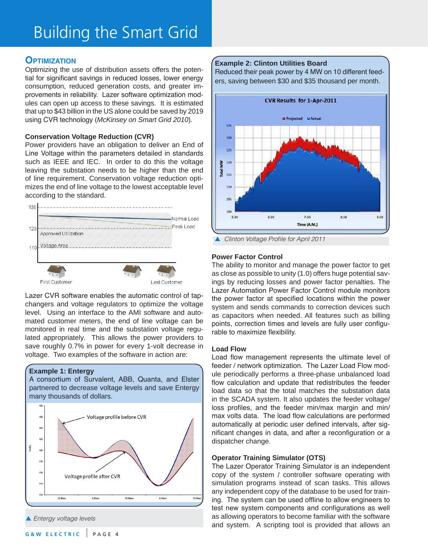# **Optimization**

Optimizing the use of distribution assets offers the potential for significant savings in reduced losses, lower energy consumption, reduced generation costs, and greater improvements in reliability. Lazer software optimization modules can open up access to these savings. It is estimated that up to \$43 billion in the US alone could be saved by 2019 using CVR technology (*McKinsey on Smart Grid 2010*).

#### **Conservation Voltage Reduction (CVR)**

Power providers have an obligation to deliver an End of Line Voltage within the parameters detailed in standards such as IEEE and IEC. In order to do this the voltage leaving the substation needs to be higher than the end of line requirement. Conservation voltage reduction optimizes the end of line voltage to the lowest acceptable level according to the standard.



Lazer CVR software enables the automatic control of tapchangers and voltage regulators to optimize the voltage level. Using an interface to the AMI software and automated customer meters, the end of line voltage can be monitored in real time and the substation voltage regulated appropriately. This allows the power providers to save roughly 0.7% in power for every 1-volt decrease in voltage. Two examples of the software in action are:

#### **Example 1: Entergy**





#### **Example 2: Clinton Utilities Board**

Reduced their peak power by 4 MW on 10 different feeders, saving between \$30 and \$35 thousand per month.



#### **Power Factor Control**

The ability to monitor and manage the power factor to get as close as possible to unity (1.0) offers huge potential savings by reducing losses and power factor penalties. The Lazer Automation Power Factor Control module monitors the power factor at specified locations within the power system and sends commands to correction devices such as capacitors when needed. All features such as billing points, correction times and levels are fully user configurable to maximize flexibility.

#### **Load Flow**

Load flow management represents the ultimate level of feeder / network optimization. The Lazer Load Flow module periodically performs a three-phase unbalanced load flow calculation and update that redistributes the feeder load data so that the total matches the substation data in the SCADA system. It also updates the feeder voltage/ loss profiles, and the feeder min/max margin and min/ max volts data. The load flow calculations are performed automatically at periodic user defined intervals, after significant changes in data, and after a reconfiguration or a dispatcher change.

#### **Operator Training Simulator (OTS)**

The Lazer Operator Training Simulator is an independent copy of the system / controller software operating with simulation programs instead of scan tasks. This allows any independent copy of the database to be used for training. The system can be used offline to allow engineers to test new system components and configurations as well as allowing operators to become familiar with the software and system. A scripting tool is provided that allows an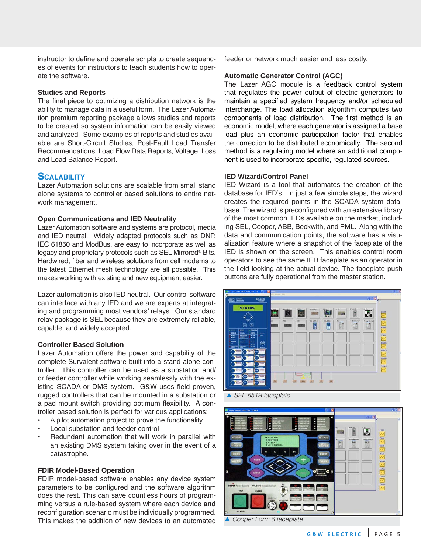instructor to define and operate scripts to create sequences of events for instructors to teach students how to operate the software.

#### **Studies and Reports**

The final piece to optimizing a distribution network is the ability to manage data in a useful form. The Lazer Automation premium reporting package allows studies and reports to be created so system information can be easily viewed and analyzed. Some examples of reports and studies available are Short-Circuit Studies, Post-Fault Load Transfer Recommendations, Load Flow Data Reports, Voltage, Loss and Load Balance Report.

### **SCALABILITY**

Lazer Automation solutions are scalable from small stand alone systems to controller based solutions to entire network management.

#### **Open Communications and IED Neutrality**

Lazer Automation software and systems are protocol, media and IED neutral. Widely adapted protocols such as DNP, IEC 61850 and ModBus, are easy to incorporate as well as legacy and proprietary protocols such as SEL Mirrored® Bits. Hardwired, fiber and wireless solutions from cell modems to the latest Ethernet mesh technology are all possible. This makes working with existing and new equipment easier.

Lazer automation is also IED neutral. Our control software can interface with any IED and we are experts at integrating and programming most vendors' relays. Our standard relay package is SEL because they are extremely reliable, capable, and widely accepted.

#### **Controller Based Solution**

Lazer Automation offers the power and capability of the complete Survalent software built into a stand-alone controller. This controller can be used as a substation and/ or feeder controller while working seamlessly with the existing SCADA or DMS system. G&W uses field proven, rugged controllers that can be mounted in a substation or a pad mount switch providing optimum flexibility. A controller based solution is perfect for various applications:

- A pilot automation project to prove the functionality
- **Local substation and feeder control**
- Redundant automation that will work in parallel with an existing DMS system taking over in the event of a catastrophe.

#### **FDIR Model-Based Operation**

FDIR model-based software enables any device system parameters to be configured and the software algorithm does the rest. This can save countless hours of programming versus a rule-based system where each device **and** reconfiguration scenario must be individually programmed. This makes the addition of new devices to an automated

feeder or network much easier and less costly.

#### **Automatic Generator Control (AGC)**

The Lazer AGC module is a feedback control system that regulates the power output of electric generators to maintain a specified system frequency and/or scheduled interchange. The load allocation algorithm computes two components of load distribution. The first method is an economic model, where each generator is assigned a base load plus an economic participation factor that enables the correction to be distributed economically. The second method is a regulating model where an additional component is used to incorporate specific, regulated sources.

#### **IED Wizard/Control Panel**

IED Wizard is a tool that automates the creation of the database for IED's. In just a few simple steps, the wizard creates the required points in the SCADA system database. The wizard is preconfigured with an extensive library of the most common IEDs available on the market, including SEL, Cooper, ABB, Beckwith, and PML. Along with the data and communication points, the software has a visualization feature where a snapshot of the faceplate of the IED is shown on the screen. This enables control room operators to see the same IED faceplate as an operator in the field looking at the actual device. The faceplate push buttons are fully operational from the master station.



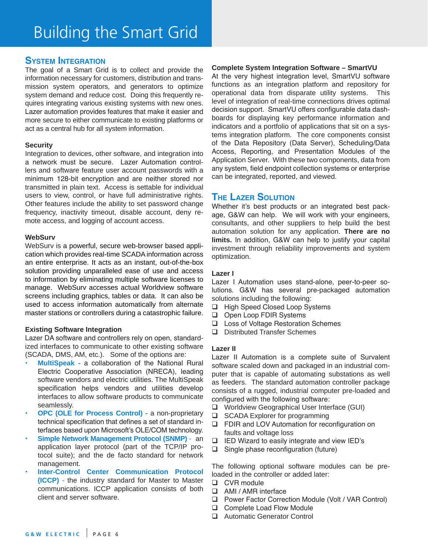### **System Integration**

The goal of a Smart Grid is to collect and provide the information necessary for customers, distribution and transmission system operators, and generators to optimize system demand and reduce cost. Doing this frequently requires integrating various existing systems with new ones. Lazer automation provides features that make it easier and more secure to either communicate to existing platforms or act as a central hub for all system information.

#### **Security**

Integration to devices, other software, and integration into a network must be secure. Lazer Automation controllers and software feature user account passwords with a minimum 128-bit encryption and are neither stored nor transmitted in plain text. Access is settable for individual users to view, control, or have full administrative rights. Other features include the ability to set password change frequency, inactivity timeout, disable account, deny remote access, and logging of account access.

#### **WebSurv**

WebSurv is a powerful, secure web-browser based application which provides real-time SCADA information across an entire enterprise. It acts as an instant, out-of-the-box solution providing unparalleled ease of use and access to information by eliminating multiple software licenses to manage. WebSurv accesses actual Worldview software screens including graphics, tables or data. It can also be used to access information automatically from alternate master stations or controllers during a catastrophic failure.

#### **Existing Software Integration**

Lazer DA software and controllers rely on open, standardized interfaces to communicate to other existing software (SCADA, DMS, AM, etc.). Some of the options are:

- **MultiSpeak -** a collaboration of the National Rural Electric Cooperative Association (NRECA), leading software vendors and electric utilities. The MultiSpeak specification helps vendors and utilities develop interfaces to allow software products to communicate seamlessly.
- **OPC (OLE for Process Control) a non-proprietary** technical specification that defines a set of standard interfaces based upon Microsoft's OLE/COM technology.
- **Simple Network Management Protocol (SNMP) an** application layer protocol (part of the TCP/IP protocol suite); and the de facto standard for network management.
- **Inter-Control Center Communication Protocol (ICCP)** - the industry standard for Master to Master communications. ICCP application consists of both client and server software.

#### **Complete System Integration Software – SmartVU**

At the very highest integration level, SmartVU software functions as an integration platform and repository for operational data from disparate utility systems. This level of integration of real-time connections drives optimal decision support. SmartVU offers configurable data dashboards for displaying key performance information and indicators and a portfolio of applications that sit on a systems integration platform. The core components consist of the Data Repository (Data Server), Scheduling/Data Access, Reporting, and Presentation Modules of the Application Server. With these two components, data from any system, field endpoint collection systems or enterprise can be integrated, reported, and viewed.

# **The Lazer Solution**

Whether it's best products or an integrated best package, G&W can help. We will work with your engineers, consultants, and other suppliers to help build the best automation solution for any application. **There are no limits.** In addition, G&W can help to justify your capital investment through reliability improvements and system optimization.

#### **Lazer I**

Lazer I Automation uses stand-alone, peer-to-peer solutions. G&W has several pre-packaged automation solutions including the following:

- □ High Speed Closed Loop Systems
- **Q** Open Loop FDIR Systems
- □ Loss of Voltage Restoration Schemes
- $\Box$  Distributed Transfer Schemes

#### **Lazer II**

Lazer II Automation is a complete suite of Survalent software scaled down and packaged in an industrial computer that is capable of automating substations as well as feeders. The standard automation controller package consists of a rugged, industrial computer pre-loaded and configured with the following software:

- □ Worldview Geographical User Interface (GUI)
- $\Box$  SCADA Explorer for programming
- □ FDIR and LOV Automation for reconfiguration on faults and voltage loss
- $\Box$  IED Wizard to easily integrate and view IED's
- $\Box$  Single phase reconfiguration (future)

The following optional software modules can be preloaded in the controller or added later:

- □ CVR module
- □ AMI / AMR interface
- □ Power Factor Correction Module (Volt / VAR Control)
- □ Complete Load Flow Module
- □ Automatic Generator Control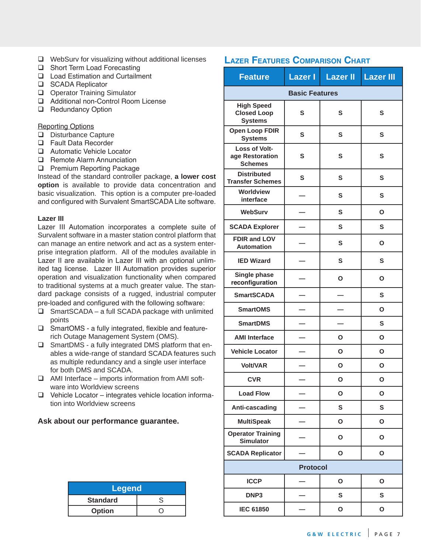- $\Box$  WebSurv for visualizing without additional licenses
- □ Short Term Load Forecasting
- $\Box$  Load Estimation and Curtailment
- □ SCADA Replicator
- **Q** Operator Training Simulator
- □ Additional non-Control Room License
- **Q** Redundancy Option

Reporting Options

- $\Box$  Disturbance Capture
- □ Fault Data Recorder
- □ Automatic Vehicle Locator
- **Q** Remote Alarm Annunciation
- **Q** Premium Reporting Package

Instead of the standard controller package, **a lower cost option** is available to provide data concentration and basic visualization. This option is a computer pre-loaded and configured with Survalent SmartSCADA Lite software.

#### **Lazer III**

Lazer III Automation incorporates a complete suite of Survalent software in a master station control platform that can manage an entire network and act as a system enterprise integration platform. All of the modules available in Lazer II are available in Lazer III with an optional unlimited tag license. Lazer III Automation provides superior operation and visualization functionality when compared to traditional systems at a much greater value. The standard package consists of a rugged, industrial computer pre-loaded and configured with the following software:

- $\Box$  SmartSCADA a full SCADA package with unlimited points
- $\Box$  SmartOMS a fully integrated, flexible and featurerich Outage Management System (OMS).
- $\square$  SmartDMS a fully integrated DMS platform that enables a wide-range of standard SCADA features such as multiple redundancy and a single user interface for both DMS and SCADA.
- $\Box$  AMI Interface imports information from AMI software into Worldview screens
- $\Box$  Vehicle Locator integrates vehicle location information into Worldview screens

### **Ask about our performance guarantee.**

| Legend          |  |  |  |
|-----------------|--|--|--|
| <b>Standard</b> |  |  |  |
| <b>Option</b>   |  |  |  |

# **LAZER FEATURES COMPARISON CHART**

| <b>Feature</b>                                            | <b>Lazer I</b> | <b>Lazer II</b> | <b>Lazer III</b> |
|-----------------------------------------------------------|----------------|-----------------|------------------|
| <b>Basic Features</b>                                     |                |                 |                  |
| <b>High Speed</b><br><b>Closed Loop</b><br><b>Systems</b> | S              | S               | S                |
| <b>Open Loop FDIR</b><br><b>Systems</b>                   | S              | S               | S                |
| Loss of Volt-<br>age Restoration<br><b>Schemes</b>        | S              | S               | S                |
| <b>Distributed</b><br><b>Transfer Schemes</b>             | S              | S               | S                |
| Worldview<br>interface                                    |                | S               | S                |
| <b>WebSurv</b>                                            |                | S               | Ο                |
| <b>SCADA Explorer</b>                                     |                | S               | S                |
| <b>FDIR and LOV</b><br><b>Automation</b>                  |                | S               | O                |
| <b>IED Wizard</b>                                         |                | S               | S                |
| Single phase<br>reconfiguration                           |                | Ο               | Ο                |
| <b>SmartSCADA</b>                                         |                |                 | S                |
| <b>SmartOMS</b>                                           |                |                 | O                |
| <b>SmartDMS</b>                                           |                |                 | S                |
| <b>AMI Interface</b>                                      |                | Ο               | Ο                |
| <b>Vehicle Locator</b>                                    |                | O               | O                |
| <b>Volt/VAR</b>                                           |                | Ο               | Ο                |
| <b>CVR</b>                                                |                | O               | O                |
| <b>Load Flow</b>                                          |                | O               | $\mathbf{o}$     |
| Anti-cascading                                            |                | S               | S                |
| <b>MultiSpeak</b>                                         |                | $\mathbf{o}$    | $\mathbf{o}$     |
| <b>Operator Training</b><br><b>Simulator</b>              |                | O               | O                |
| <b>SCADA Replicator</b>                                   |                | O               | $\mathbf{o}$     |
| <b>Protocol</b>                                           |                |                 |                  |
| <b>ICCP</b>                                               |                | O               | O                |
| DNP3                                                      |                | S               | S                |
| <b>IEC 61850</b>                                          |                | O               | $\mathbf{o}$     |